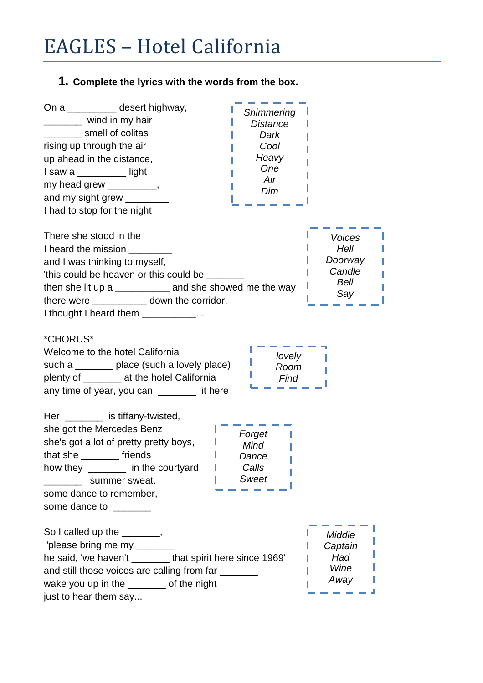## EAGLES – Hotel California

## **1. Complete the lyrics with the words from the box.**

| On a ____________ desert highway,<br>________ wind in my hair                                                                                                                                                                                                                                                                                                                                                                                                                                                                                                | Shimmering<br><b>Distance</b> |                                                                  |
|--------------------------------------------------------------------------------------------------------------------------------------------------------------------------------------------------------------------------------------------------------------------------------------------------------------------------------------------------------------------------------------------------------------------------------------------------------------------------------------------------------------------------------------------------------------|-------------------------------|------------------------------------------------------------------|
| smell of colitas                                                                                                                                                                                                                                                                                                                                                                                                                                                                                                                                             | Dark                          |                                                                  |
| rising up through the air                                                                                                                                                                                                                                                                                                                                                                                                                                                                                                                                    | Cool                          |                                                                  |
| up ahead in the distance,                                                                                                                                                                                                                                                                                                                                                                                                                                                                                                                                    | Heavy                         |                                                                  |
| I saw a _________ light                                                                                                                                                                                                                                                                                                                                                                                                                                                                                                                                      | One                           |                                                                  |
| my head grew $\frac{1}{1}$ ,                                                                                                                                                                                                                                                                                                                                                                                                                                                                                                                                 | Air                           |                                                                  |
| and my sight grew _______                                                                                                                                                                                                                                                                                                                                                                                                                                                                                                                                    | Dim                           |                                                                  |
| I had to stop for the night                                                                                                                                                                                                                                                                                                                                                                                                                                                                                                                                  |                               |                                                                  |
| There she stood in the ____________<br>I heard the mission<br>and I was thinking to myself,<br>'this could be heaven or this could be ______<br>then she lit up a ___________ and she showed me the way<br>there were _____________ down the corridor,<br>I thought I heard them $\frac{1}{1}$ = $\frac{1}{1}$ = $\frac{1}{1}$ = $\frac{1}{1}$ = $\frac{1}{1}$ = $\frac{1}{1}$ = $\frac{1}{1}$ = $\frac{1}{1}$ = $\frac{1}{1}$ = $\frac{1}{1}$ = $\frac{1}{1}$ = $\frac{1}{1}$ = $\frac{1}{1}$ = $\frac{1}{1}$ = $\frac{1}{1}$ = $\frac{1}{1}$ = $\frac{1}{$ |                               | <b>Voices</b><br>Hell<br>Doorway<br>Candle<br><b>Bell</b><br>Say |
| *CHORUS*<br>Welcome to the hotel California<br>such a ________ place (such a lovely place)<br>plenty of ________ at the hotel California<br>any time of year, you can _______ it here                                                                                                                                                                                                                                                                                                                                                                        | lovely<br>Room<br>Find        |                                                                  |
| Her ________ is tiffany-twisted,                                                                                                                                                                                                                                                                                                                                                                                                                                                                                                                             |                               |                                                                  |
| she got the Mercedes Benz                                                                                                                                                                                                                                                                                                                                                                                                                                                                                                                                    |                               |                                                                  |
| she's got a lot of pretty pretty boys,                                                                                                                                                                                                                                                                                                                                                                                                                                                                                                                       | Forget<br>Mind                |                                                                  |
| that she __________ friends                                                                                                                                                                                                                                                                                                                                                                                                                                                                                                                                  | Dance                         |                                                                  |
| how they ________ in the courtyard,                                                                                                                                                                                                                                                                                                                                                                                                                                                                                                                          | Calls                         |                                                                  |
| summer sweat.                                                                                                                                                                                                                                                                                                                                                                                                                                                                                                                                                | Sweet                         |                                                                  |
| some dance to remember,                                                                                                                                                                                                                                                                                                                                                                                                                                                                                                                                      |                               |                                                                  |
| some dance to some of the same of the same of the same of the same of the same of the same of the same of the same of the same of the same of the same of the same of the same of the same of the same of the same of the same                                                                                                                                                                                                                                                                                                                               |                               |                                                                  |
| So I called up the _______,<br>'please bring me my _______<br>he said, 'we haven't ________ that spirit here since 1969'<br>and still those voices are calling from far<br>wake you up in the _______ of the night<br>just to hear them say                                                                                                                                                                                                                                                                                                                  |                               | Middle<br>Captain<br>Had<br>Wine<br>Away                         |